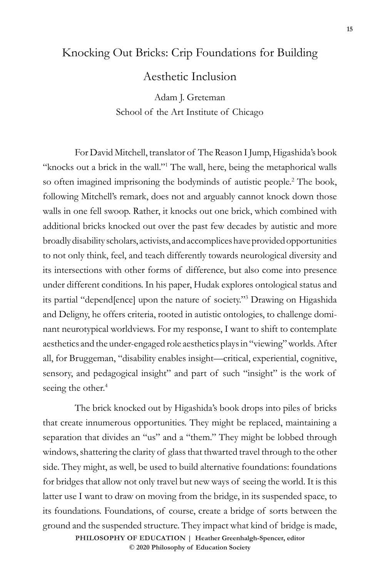## Knocking Out Bricks: Crip Foundations for Building

Aesthetic Inclusion

Adam J. Greteman School of the Art Institute of Chicago

For David Mitchell, translator of The Reason I Jump, Higashida's book "knocks out a brick in the wall."<sup>1</sup> The wall, here, being the metaphorical walls so often imagined imprisoning the bodyminds of autistic people.<sup>2</sup> The book, following Mitchell's remark, does not and arguably cannot knock down those walls in one fell swoop. Rather, it knocks out one brick, which combined with additional bricks knocked out over the past few decades by autistic and more broadly disability scholars, activists, and accomplices have provided opportunities to not only think, feel, and teach differently towards neurological diversity and its intersections with other forms of difference, but also come into presence under different conditions. In his paper, Hudak explores ontological status and its partial "depend[ence] upon the nature of society."3 Drawing on Higashida and Deligny, he offers criteria, rooted in autistic ontologies, to challenge dominant neurotypical worldviews. For my response, I want to shift to contemplate aesthetics and the under-engaged role aesthetics plays in "viewing" worlds. After all, for Bruggeman, "disability enables insight—critical, experiential, cognitive, sensory, and pedagogical insight" and part of such "insight" is the work of seeing the other.<sup>4</sup>

The brick knocked out by Higashida's book drops into piles of bricks that create innumerous opportunities. They might be replaced, maintaining a separation that divides an "us" and a "them." They might be lobbed through windows, shattering the clarity of glass that thwarted travel through to the other side. They might, as well, be used to build alternative foundations: foundations for bridges that allow not only travel but new ways of seeing the world. It is this latter use I want to draw on moving from the bridge, in its suspended space, to its foundations. Foundations, of course, create a bridge of sorts between the ground and the suspended structure. They impact what kind of bridge is made,

> **DOI 10.47925/76.3.015: PHILOSOPHY OF EDUCATION | Heather Greenhalgh-Spencer, editor © 2020 Philosophy of Education Society**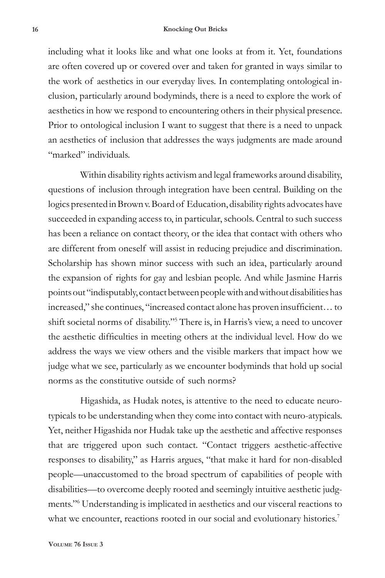## **16 Knocking Out Bricks**

including what it looks like and what one looks at from it. Yet, foundations are often covered up or covered over and taken for granted in ways similar to the work of aesthetics in our everyday lives. In contemplating ontological inclusion, particularly around bodyminds, there is a need to explore the work of aesthetics in how we respond to encountering others in their physical presence. Prior to ontological inclusion I want to suggest that there is a need to unpack an aesthetics of inclusion that addresses the ways judgments are made around "marked" individuals.

Within disability rights activism and legal frameworks around disability, questions of inclusion through integration have been central. Building on the logics presented in Brown v. Board of Education, disability rights advocates have succeeded in expanding access to, in particular, schools. Central to such success has been a reliance on contact theory, or the idea that contact with others who are different from oneself will assist in reducing prejudice and discrimination. Scholarship has shown minor success with such an idea, particularly around the expansion of rights for gay and lesbian people. And while Jasmine Harris points out "indisputably, contact between people with and without disabilities has increased," she continues, "increased contact alone has proven insufficient… to shift societal norms of disability."5 There is, in Harris's view, a need to uncover the aesthetic difficulties in meeting others at the individual level. How do we address the ways we view others and the visible markers that impact how we judge what we see, particularly as we encounter bodyminds that hold up social norms as the constitutive outside of such norms?

Higashida, as Hudak notes, is attentive to the need to educate neurotypicals to be understanding when they come into contact with neuro-atypicals. Yet, neither Higashida nor Hudak take up the aesthetic and affective responses that are triggered upon such contact. "Contact triggers aesthetic-affective responses to disability," as Harris argues, "that make it hard for non-disabled people—unaccustomed to the broad spectrum of capabilities of people with disabilities—to overcome deeply rooted and seemingly intuitive aesthetic judgments."6 Understanding is implicated in aesthetics and our visceral reactions to what we encounter, reactions rooted in our social and evolutionary histories.<sup>7</sup>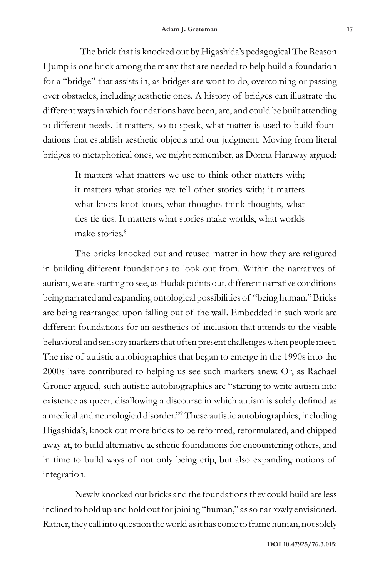The brick that is knocked out by Higashida's pedagogical The Reason I Jump is one brick among the many that are needed to help build a foundation for a "bridge" that assists in, as bridges are wont to do, overcoming or passing over obstacles, including aesthetic ones. A history of bridges can illustrate the different ways in which foundations have been, are, and could be built attending to different needs. It matters, so to speak, what matter is used to build foundations that establish aesthetic objects and our judgment. Moving from literal bridges to metaphorical ones, we might remember, as Donna Haraway argued:

> It matters what matters we use to think other matters with; it matters what stories we tell other stories with; it matters what knots knot knots, what thoughts think thoughts, what ties tie ties. It matters what stories make worlds, what worlds make stories.<sup>8</sup>

The bricks knocked out and reused matter in how they are refigured in building different foundations to look out from. Within the narratives of autism, we are starting to see, as Hudak points out, different narrative conditions being narrated and expanding ontological possibilities of "being human." Bricks are being rearranged upon falling out of the wall. Embedded in such work are different foundations for an aesthetics of inclusion that attends to the visible behavioral and sensory markers that often present challenges when people meet. The rise of autistic autobiographies that began to emerge in the 1990s into the 2000s have contributed to helping us see such markers anew. Or, as Rachael Groner argued, such autistic autobiographies are "starting to write autism into existence as queer, disallowing a discourse in which autism is solely defined as a medical and neurological disorder."9 These autistic autobiographies, including Higashida's, knock out more bricks to be reformed, reformulated, and chipped away at, to build alternative aesthetic foundations for encountering others, and in time to build ways of not only being crip, but also expanding notions of integration.

Newly knocked out bricks and the foundations they could build are less inclined to hold up and hold out for joining "human," as so narrowly envisioned. Rather, they call into question the world as it has come to frame human, not solely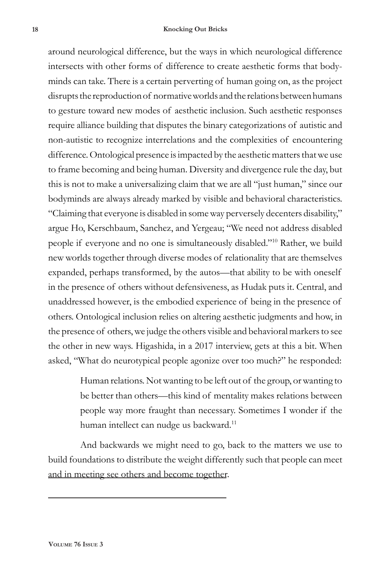## **18 Knocking Out Bricks**

around neurological difference, but the ways in which neurological difference intersects with other forms of difference to create aesthetic forms that bodyminds can take. There is a certain perverting of human going on, as the project disrupts the reproduction of normative worlds and the relations between humans to gesture toward new modes of aesthetic inclusion. Such aesthetic responses require alliance building that disputes the binary categorizations of autistic and non-autistic to recognize interrelations and the complexities of encountering difference. Ontological presence is impacted by the aesthetic matters that we use to frame becoming and being human. Diversity and divergence rule the day, but this is not to make a universalizing claim that we are all "just human," since our bodyminds are always already marked by visible and behavioral characteristics. "Claiming that everyone is disabled in some way perversely decenters disability," argue Ho, Kerschbaum, Sanchez, and Yergeau; "We need not address disabled people if everyone and no one is simultaneously disabled."10 Rather, we build new worlds together through diverse modes of relationality that are themselves expanded, perhaps transformed, by the autos—that ability to be with oneself in the presence of others without defensiveness, as Hudak puts it. Central, and unaddressed however, is the embodied experience of being in the presence of others. Ontological inclusion relies on altering aesthetic judgments and how, in the presence of others, we judge the others visible and behavioral markers to see the other in new ways. Higashida, in a 2017 interview, gets at this a bit. When asked, "What do neurotypical people agonize over too much?" he responded:

> Human relations. Not wanting to be left out of the group, or wanting to be better than others—this kind of mentality makes relations between people way more fraught than necessary. Sometimes I wonder if the human intellect can nudge us backward.<sup>11</sup>

And backwards we might need to go, back to the matters we use to build foundations to distribute the weight differently such that people can meet and in meeting see others and become together.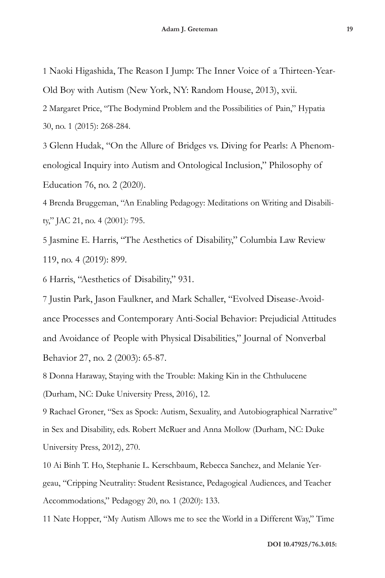1 Naoki Higashida, The Reason I Jump: The Inner Voice of a Thirteen-Year-Old Boy with Autism (New York, NY: Random House, 2013), xvii.

2 Margaret Price, "The Bodymind Problem and the Possibilities of Pain," Hypatia 30, no. 1 (2015): 268-284.

3 Glenn Hudak, "On the Allure of Bridges vs. Diving for Pearls: A Phenomenological Inquiry into Autism and Ontological Inclusion," Philosophy of Education 76, no. 2 (2020).

4 Brenda Bruggeman, "An Enabling Pedagogy: Meditations on Writing and Disability," JAC 21, no. 4 (2001): 795.

5 Jasmine E. Harris, "The Aesthetics of Disability," Columbia Law Review 119, no. 4 (2019): 899.

6 Harris, "Aesthetics of Disability," 931.

7 Justin Park, Jason Faulkner, and Mark Schaller, "Evolved Disease-Avoidance Processes and Contemporary Anti-Social Behavior: Prejudicial Attitudes and Avoidance of People with Physical Disabilities," Journal of Nonverbal Behavior 27, no. 2 (2003): 65-87.

8 Donna Haraway, Staying with the Trouble: Making Kin in the Chthulucene (Durham, NC: Duke University Press, 2016), 12.

9 Rachael Groner, "Sex as Spock: Autism, Sexuality, and Autobiographical Narrative" in Sex and Disability, eds. Robert McRuer and Anna Mollow (Durham, NC: Duke University Press, 2012), 270.

10 Ai Binh T. Ho, Stephanie L. Kerschbaum, Rebecca Sanchez, and Melanie Yergeau, "Cripping Neutrality: Student Resistance, Pedagogical Audiences, and Teacher Accommodations," Pedagogy 20, no. 1 (2020): 133.

11 Nate Hopper, "My Autism Allows me to see the World in a Different Way," Time